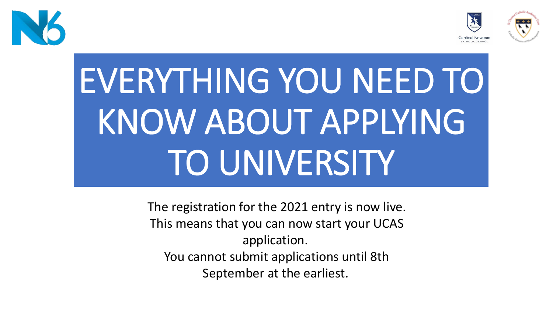



# EVERYTHING YOU NEED TO KNOW ABOUT APPLYING TO UNIVERSITY

The registration for the 2021 entry is now live. This means that you can now start your UCAS application. You cannot submit applications until 8th September at the earliest.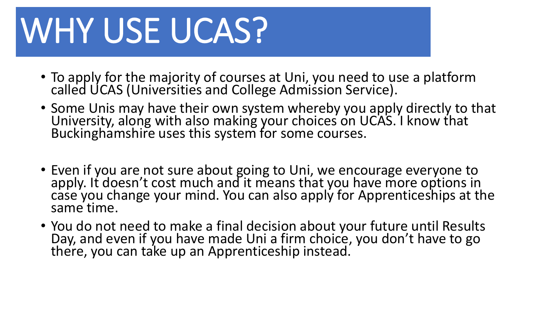# WHY USE UCAS?

- To apply for the majority of courses at Uni, you need to use a platform called UCAS (Universities and College Admission Service).
- Some Unis may have their own system whereby you apply directly to that University, along with also making your choices on UCAS. I know that Buckinghamshire uses this system for some courses.
- Even if you are not sure about going to Uni, we encourage everyone to apply. It doesn't cost much and it means that you have more options in case you change your mind. You can also apply for Apprenticeships at the same time.
- You do not need to make a final decision about your future until Results Day, and even if you have made Uni a firm choice, you don't have to go there, you can take up an Apprenticeship instead.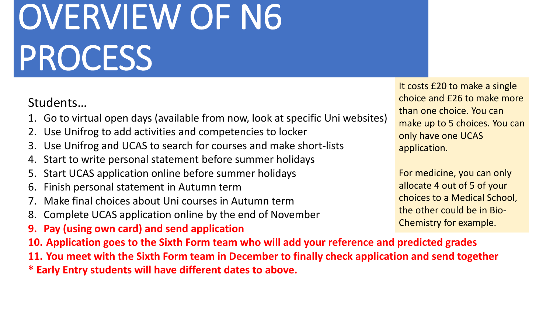# OVERVIEW OF N6 PROCESS

### Students…

- 1. Go to virtual open days (available from now, look at specific Uni websites)
- 2. Use Unifrog to add activities and competencies to locker
- 3. Use Unifrog and UCAS to search for courses and make short-lists
- 4. Start to write personal statement before summer holidays
- 5. Start UCAS application online before summer holidays
- 6. Finish personal statement in Autumn term
- 7. Make final choices about Uni courses in Autumn term
- 8. Complete UCAS application online by the end of November
- **9. Pay (using own card) and send application**
- **10. Application goes to the Sixth Form team who will add your reference and predicted grades**
- **11. You meet with the Sixth Form team in December to finally check application and send together**
- **\* Early Entry students will have different dates to above.**

It costs £20 to make a single choice and £26 to make more than one choice. You can make up to 5 choices. You can only have one UCAS application.

For medicine, you can only allocate 4 out of 5 of your choices to a Medical School, the other could be in Bio-Chemistry for example.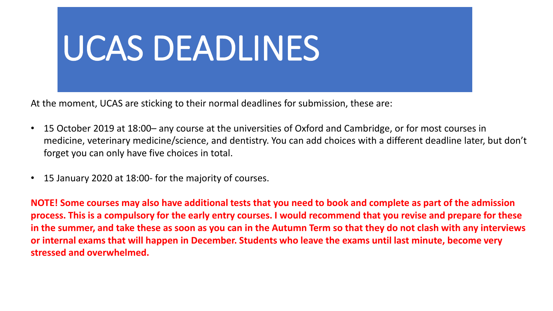

At the moment, UCAS are sticking to their normal deadlines for submission, these are:

- 15 October 2019 at 18:00– any course at the universities of Oxford and Cambridge, or for most courses in medicine, veterinary medicine/science, and dentistry. You can add choices with a different deadline later, but don't forget you can only have five choices in total.
- 15 January 2020 at 18:00- for the majority of courses.

**NOTE! Some courses may also have additional tests that you need to book and complete as part of the admission process. This is a compulsory for the early entry courses. I would recommend that you revise and prepare for these in the summer, and take these as soon as you can in the Autumn Term so that they do not clash with any interviews or internal exams that will happen in December. Students who leave the exams until last minute, become very stressed and overwhelmed.**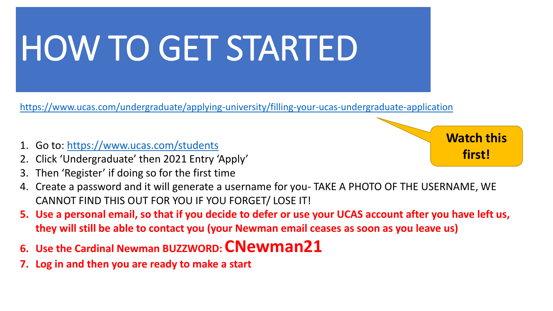# HOW TO GET STARTED

<https://www.ucas.com/undergraduate/applying-university/filling-your-ucas-undergraduate-application>

- 1. Go to:<https://www.ucas.com/students>
- 2. Click 'Undergraduate' then 2021 Entry 'Apply'
- 3. Then 'Register' if doing so for the first time
- 4. Create a password and it will generate a username for you- TAKE A PHOTO OF THE USERNAME, WE CANNOT FIND THIS OUT FOR YOU IF YOU FORGET/ LOSE IT!
- **5. Use a personal email, so that if you decide to defer or use your UCAS account after you have left us, they will still be able to contact you (your Newman email ceases as soon as you leave us)**
- **6. Use the Cardinal Newman BUZZWORD: CNewman21**
- **7. Log in and then you are ready to make a start**

**Watch this first!**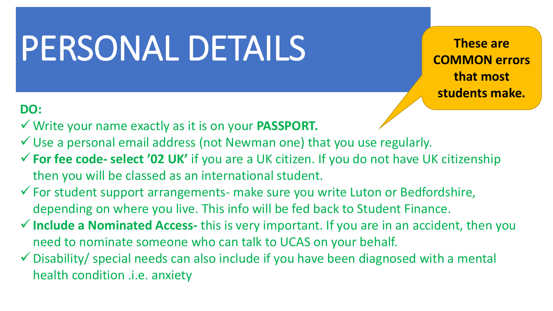### PERSONAL DETAILS

**These are COMMON errors that most students make.**

#### **DO:**

- ✓ Write your name exactly as it is on your **PASSPORT.**
- $\checkmark$  Use a personal email address (not Newman one) that you use regularly.
- ✓**For fee code- select '02 UK'** if you are a UK citizen. If you do not have UK citizenship then you will be classed as an international student.
- ✓For student support arrangements- make sure you write Luton or Bedfordshire, depending on where you live. This info will be fed back to Student Finance.
- ✓**Include a Nominated Access-** this is very important. If you are in an accident, then you need to nominate someone who can talk to UCAS on your behalf.
- $\checkmark$  Disability/ special needs can also include if you have been diagnosed with a mental health condition .i.e. anxiety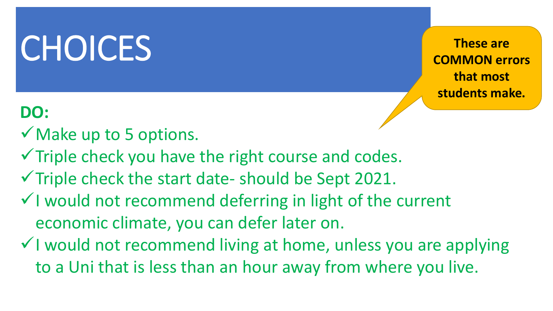### **CHOICES**

**DO:**

- $\checkmark$  Make up to 5 options.
- $\checkmark$  Triple check you have the right course and codes.
- $\checkmark$  Triple check the start date- should be Sept 2021.
- ✓I would not recommend deferring in light of the current economic climate, you can defer later on.
- ✓I would not recommend living at home, unless you are applying to a Uni that is less than an hour away from where you live.

**These are COMMON errors that most students make.**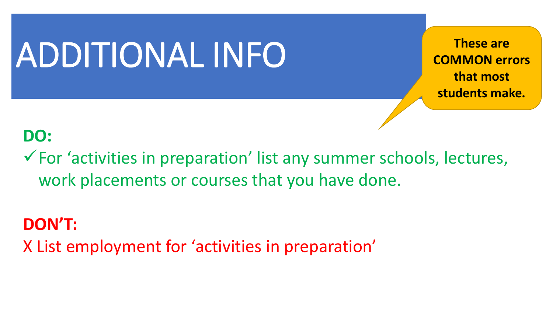### ADDITIONAL INFO

**These are COMMON errors that most students make.**

### **DO:**

 $\checkmark$  For 'activities in preparation' list any summer schools, lectures, work placements or courses that you have done.

### **DON'T:**

X List employment for 'activities in preparation'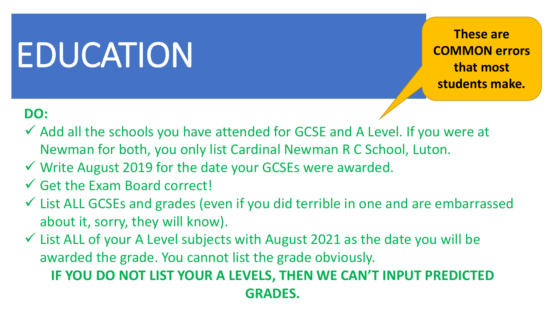### EDUCATION

**These are COMMON errors that most students make.**

#### **DO:**

- ✓ Add all the schools you have attended for GCSE and A Level. If you were at Newman for both, you only list Cardinal Newman R C School, Luton.
- ✓ Write August 2019 for the date your GCSEs were awarded.
- $\checkmark$  Get the Exam Board correct!
- ✓ List ALL GCSEs and grades (even if you did terrible in one and are embarrassed about it, sorry, they will know).
- $\checkmark$  List ALL of your A Level subjects with August 2021 as the date you will be awarded the grade. You cannot list the grade obviously.

### **IF YOU DO NOT LIST YOUR A LEVELS, THEN WE CAN'T INPUT PREDICTED GRADES.**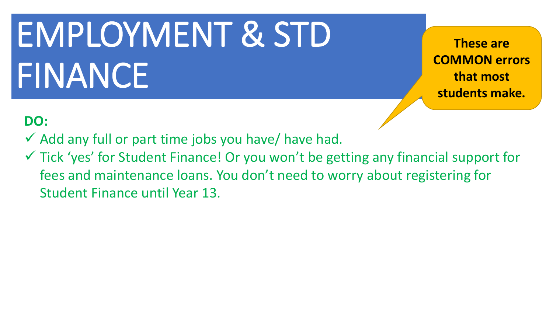# EMPLOYMENT & STD FINANCE

**These are COMMON errors that most students make.**

### **DO:**

- $\checkmark$  Add any full or part time jobs you have/ have had.
- ✓ Tick 'yes' for Student Finance! Or you won't be getting any financial support for fees and maintenance loans. You don't need to worry about registering for Student Finance until Year 13.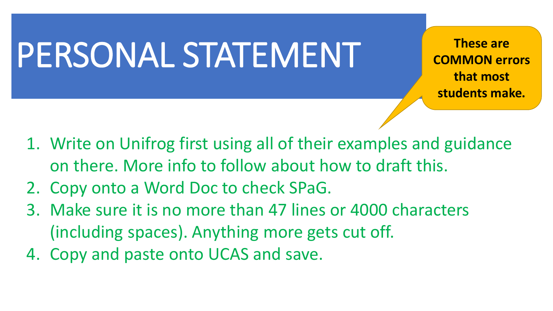### PERSONAL STATEMENT

**These are COMMON errors that most students make.**

- 1. Write on Unifrog first using all of their examples and guidance on there. More info to follow about how to draft this.
- 2. Copy onto a Word Doc to check SPaG.
- 3. Make sure it is no more than 47 lines or 4000 characters (including spaces). Anything more gets cut off.
- 4. Copy and paste onto UCAS and save.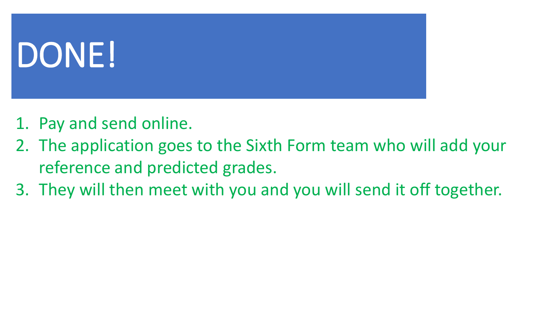# DONE!

- 1. Pay and send online.
- 2. The application goes to the Sixth Form team who will add your reference and predicted grades.
- 3. They will then meet with you and you will send it off together.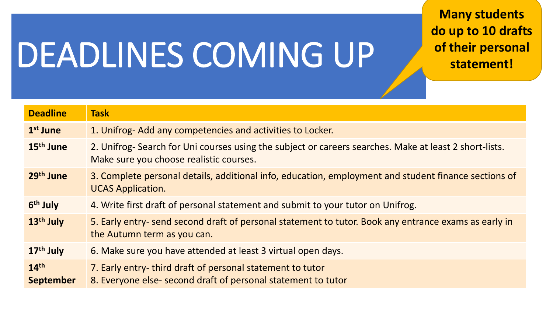## DEADLINES COMING UP

**Many students do up to 10 drafts of their personal statement!**

| <b>Deadline</b>                      | <b>Task</b>                                                                                                                                       |
|--------------------------------------|---------------------------------------------------------------------------------------------------------------------------------------------------|
| 1 <sup>st</sup> June                 | 1. Unifrog- Add any competencies and activities to Locker.                                                                                        |
| 15 <sup>th</sup> June                | 2. Unifrog- Search for Uni courses using the subject or careers searches. Make at least 2 short-lists.<br>Make sure you choose realistic courses. |
| 29 <sup>th</sup> June                | 3. Complete personal details, additional info, education, employment and student finance sections of<br><b>UCAS Application.</b>                  |
| 6 <sup>th</sup> July                 | 4. Write first draft of personal statement and submit to your tutor on Unifrog.                                                                   |
| 13 <sup>th</sup> July                | 5. Early entry- send second draft of personal statement to tutor. Book any entrance exams as early in<br>the Autumn term as you can.              |
| $17th$ July                          | 6. Make sure you have attended at least 3 virtual open days.                                                                                      |
| 14 <sup>th</sup><br><b>September</b> | 7. Early entry-third draft of personal statement to tutor<br>8. Everyone else-second draft of personal statement to tutor                         |